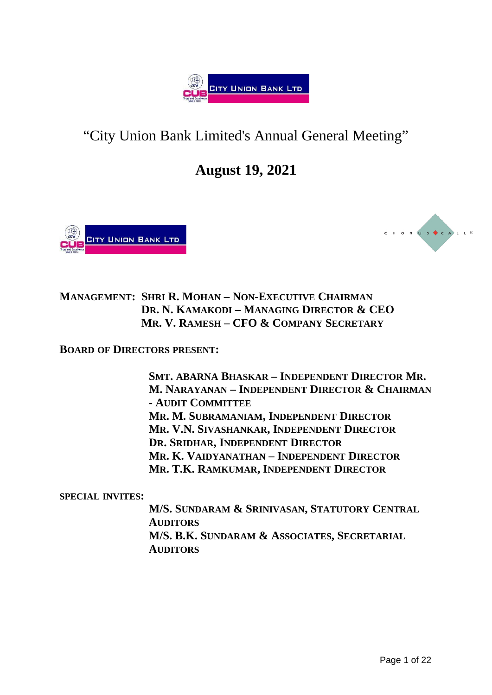

# "City Union Bank Limited's Annual General Meeting"

# **August 19, 2021**





**MANAGEMENT: SHRI R. MOHAN – NON-EXECUTIVE CHAIRMAN DR. N. KAMAKODI – MANAGING DIRECTOR & CEO MR. V. RAMESH – CFO & COMPANY SECRETARY**

**BOARD OF DIRECTORS PRESENT:**

**SMT. ABARNA BHASKAR – INDEPENDENT DIRECTOR MR. M. NARAYANAN – INDEPENDENT DIRECTOR & CHAIRMAN - AUDIT COMMITTEE MR. M. SUBRAMANIAM, INDEPENDENT DIRECTOR MR. V.N. SIVASHANKAR, INDEPENDENT DIRECTOR DR. SRIDHAR, INDEPENDENT DIRECTOR MR. K. VAIDYANATHAN – INDEPENDENT DIRECTOR MR. T.K. RAMKUMAR, INDEPENDENT DIRECTOR**

**SPECIAL INVITES:** 

**M/S. SUNDARAM & SRINIVASAN, STATUTORY CENTRAL AUDITORS M/S. B.K. SUNDARAM & ASSOCIATES, SECRETARIAL AUDITORS**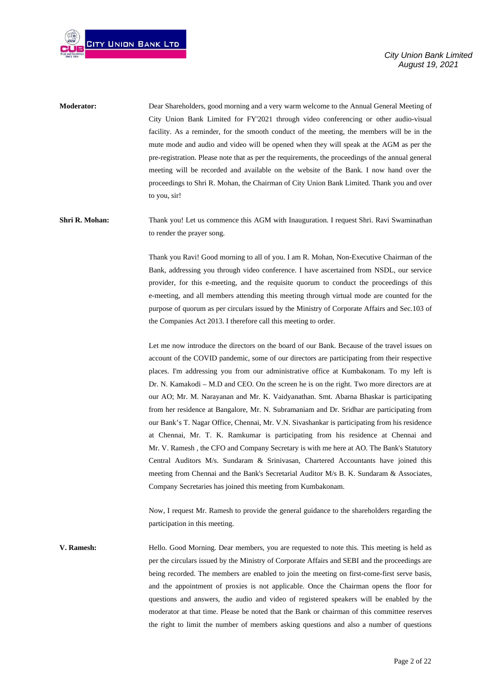

**Moderator:** Dear Shareholders, good morning and a very warm welcome to the Annual General Meeting of City Union Bank Limited for FY'2021 through video conferencing or other audio-visual facility. As a reminder, for the smooth conduct of the meeting, the members will be in the mute mode and audio and video will be opened when they will speak at the AGM as per the pre-registration. Please note that as per the requirements, the proceedings of the annual general meeting will be recorded and available on the website of the Bank. I now hand over the proceedings to Shri R. Mohan, the Chairman of City Union Bank Limited. Thank you and over to you, sir!

**Shri R. Mohan:** Thank you! Let us commence this AGM with Inauguration. I request Shri. Ravi Swaminathan to render the prayer song.

> Thank you Ravi! Good morning to all of you. I am R. Mohan, Non-Executive Chairman of the Bank, addressing you through video conference. I have ascertained from NSDL, our service provider, for this e-meeting, and the requisite quorum to conduct the proceedings of this e-meeting, and all members attending this meeting through virtual mode are counted for the purpose of quorum as per circulars issued by the Ministry of Corporate Affairs and Sec.103 of the Companies Act 2013. I therefore call this meeting to order.

> Let me now introduce the directors on the board of our Bank. Because of the travel issues on account of the COVID pandemic, some of our directors are participating from their respective places. I'm addressing you from our administrative office at Kumbakonam. To my left is Dr. N. Kamakodi – M.D and CEO. On the screen he is on the right. Two more directors are at our AO; Mr. M. Narayanan and Mr. K. Vaidyanathan. Smt. Abarna Bhaskar is participating from her residence at Bangalore, Mr. N. Subramaniam and Dr. Sridhar are participating from our Bank's T. Nagar Office, Chennai, Mr. V.N. Sivashankar is participating from his residence at Chennai, Mr. T. K. Ramkumar is participating from his residence at Chennai and Mr. V. Ramesh , the CFO and Company Secretary is with me here at AO. The Bank's Statutory Central Auditors M/s. Sundaram & Srinivasan, Chartered Accountants have joined this meeting from Chennai and the Bank's Secretarial Auditor M/s B. K. Sundaram & Associates, Company Secretaries has joined this meeting from Kumbakonam.

> Now, I request Mr. Ramesh to provide the general guidance to the shareholders regarding the participation in this meeting.

**V. Ramesh:** Hello. Good Morning. Dear members, you are requested to note this. This meeting is held as per the circulars issued by the Ministry of Corporate Affairs and SEBI and the proceedings are being recorded. The members are enabled to join the meeting on first-come-first serve basis, and the appointment of proxies is not applicable. Once the Chairman opens the floor for questions and answers, the audio and video of registered speakers will be enabled by the moderator at that time. Please be noted that the Bank or chairman of this committee reserves the right to limit the number of members asking questions and also a number of questions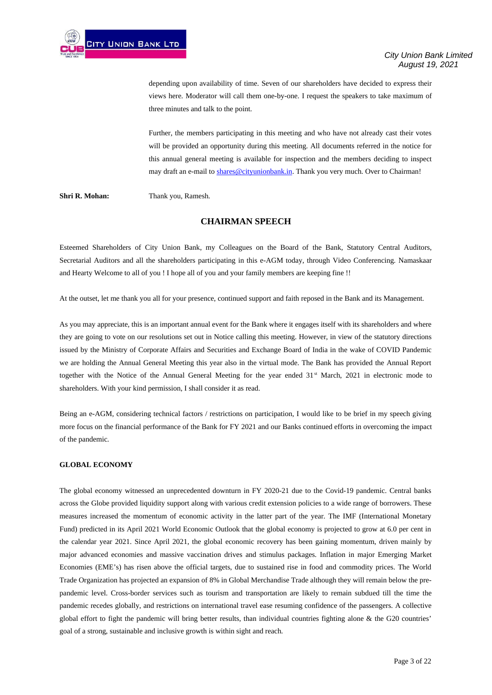depending upon availability of time. Seven of our shareholders have decided to express their views here. Moderator will call them one-by-one. I request the speakers to take maximum of three minutes and talk to the point.

Further, the members participating in this meeting and who have not already cast their votes will be provided an opportunity during this meeting. All documents referred in the notice for this annual general meeting is available for inspection and the members deciding to inspect may draft an e-mail to [shares@cityunionbank.in.](mailto:shares@cityunionbank.in) Thank you very much. Over to Chairman!

**Shri R. Mohan:** Thank you, Ramesh.

# **CHAIRMAN SPEECH**

Esteemed Shareholders of City Union Bank, my Colleagues on the Board of the Bank, Statutory Central Auditors, Secretarial Auditors and all the shareholders participating in this e-AGM today, through Video Conferencing. Namaskaar and Hearty Welcome to all of you ! I hope all of you and your family members are keeping fine !!

At the outset, let me thank you all for your presence, continued support and faith reposed in the Bank and its Management.

As you may appreciate, this is an important annual event for the Bank where it engages itself with its shareholders and where they are going to vote on our resolutions set out in Notice calling this meeting. However, in view of the statutory directions issued by the Ministry of Corporate Affairs and Securities and Exchange Board of India in the wake of COVID Pandemic we are holding the Annual General Meeting this year also in the virtual mode. The Bank has provided the Annual Report together with the Notice of the Annual General Meeting for the year ended 31<sup>st</sup> March, 2021 in electronic mode to shareholders. With your kind permission, I shall consider it as read.

Being an e-AGM, considering technical factors / restrictions on participation, I would like to be brief in my speech giving more focus on the financial performance of the Bank for FY 2021 and our Banks continued efforts in overcoming the impact of the pandemic.

# **GLOBAL ECONOMY**

The global economy witnessed an unprecedented downturn in FY 2020-21 due to the Covid-19 pandemic. Central banks across the Globe provided liquidity support along with various credit extension policies to a wide range of borrowers. These measures increased the momentum of economic activity in the latter part of the year. The IMF (International Monetary Fund) predicted in its April 2021 World Economic Outlook that the global economy is projected to grow at 6.0 per cent in the calendar year 2021. Since April 2021, the global economic recovery has been gaining momentum, driven mainly by major advanced economies and massive vaccination drives and stimulus packages. Inflation in major Emerging Market Economies (EME's) has risen above the official targets, due to sustained rise in food and commodity prices. The World Trade Organization has projected an expansion of 8% in Global Merchandise Trade although they will remain below the prepandemic level. Cross-border services such as tourism and transportation are likely to remain subdued till the time the pandemic recedes globally, and restrictions on international travel ease resuming confidence of the passengers. A collective global effort to fight the pandemic will bring better results, than individual countries fighting alone & the G20 countries' goal of a strong, sustainable and inclusive growth is within sight and reach.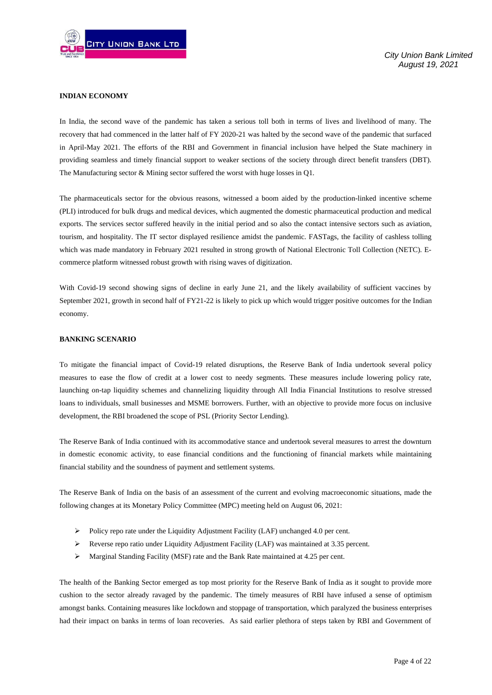

# **INDIAN ECONOMY**

In India, the second wave of the pandemic has taken a serious toll both in terms of lives and livelihood of many. The recovery that had commenced in the latter half of FY 2020-21 was halted by the second wave of the pandemic that surfaced in April-May 2021. The efforts of the RBI and Government in financial inclusion have helped the State machinery in providing seamless and timely financial support to weaker sections of the society through direct benefit transfers (DBT). The Manufacturing sector & Mining sector suffered the worst with huge losses in Q1.

The pharmaceuticals sector for the obvious reasons, witnessed a boom aided by the production-linked incentive scheme (PLI) introduced for bulk drugs and medical devices, which augmented the domestic pharmaceutical production and medical exports. The services sector suffered heavily in the initial period and so also the contact intensive sectors such as aviation, tourism, and hospitality. The IT sector displayed resilience amidst the pandemic. FASTags, the facility of cashless tolling which was made mandatory in February 2021 resulted in strong growth of National Electronic Toll Collection (NETC). Ecommerce platform witnessed robust growth with rising waves of digitization.

With Covid-19 second showing signs of decline in early June 21, and the likely availability of sufficient vaccines by September 2021, growth in second half of FY21-22 is likely to pick up which would trigger positive outcomes for the Indian economy.

# **BANKING SCENARIO**

To mitigate the financial impact of Covid-19 related disruptions, the Reserve Bank of India undertook several policy measures to ease the flow of credit at a lower cost to needy segments. These measures include lowering policy rate, launching on-tap liquidity schemes and channelizing liquidity through All India Financial Institutions to resolve stressed loans to individuals, small businesses and MSME borrowers. Further, with an objective to provide more focus on inclusive development, the RBI broadened the scope of PSL (Priority Sector Lending).

The Reserve Bank of India continued with its accommodative stance and undertook several measures to arrest the downturn in domestic economic activity, to ease financial conditions and the functioning of financial markets while maintaining financial stability and the soundness of payment and settlement systems.

The Reserve Bank of India on the basis of an assessment of the current and evolving macroeconomic situations, made the following changes at its Monetary Policy Committee (MPC) meeting held on August 06, 2021:

- $\triangleright$  Policy repo rate under the Liquidity Adjustment Facility (LAF) unchanged 4.0 per cent.
- $\triangleright$  Reverse repo ratio under Liquidity Adjustment Facility (LAF) was maintained at 3.35 percent.
- Marginal Standing Facility (MSF) rate and the Bank Rate maintained at 4.25 per cent.

The health of the Banking Sector emerged as top most priority for the Reserve Bank of India as it sought to provide more cushion to the sector already ravaged by the pandemic. The timely measures of RBI have infused a sense of optimism amongst banks. Containing measures like lockdown and stoppage of transportation, which paralyzed the business enterprises had their impact on banks in terms of loan recoveries. As said earlier plethora of steps taken by RBI and Government of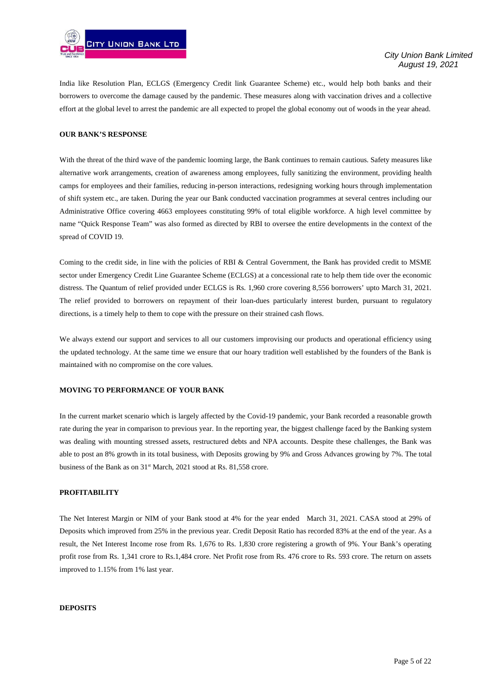

India like Resolution Plan, ECLGS (Emergency Credit link Guarantee Scheme) etc., would help both banks and their borrowers to overcome the damage caused by the pandemic. These measures along with vaccination drives and a collective effort at the global level to arrest the pandemic are all expected to propel the global economy out of woods in the year ahead.

#### **OUR BANK'S RESPONSE**

With the threat of the third wave of the pandemic looming large, the Bank continues to remain cautious. Safety measures like alternative work arrangements, creation of awareness among employees, fully sanitizing the environment, providing health camps for employees and their families, reducing in-person interactions, redesigning working hours through implementation of shift system etc., are taken. During the year our Bank conducted vaccination programmes at several centres including our Administrative Office covering 4663 employees constituting 99% of total eligible workforce. A high level committee by name "Quick Response Team" was also formed as directed by RBI to oversee the entire developments in the context of the spread of COVID 19.

Coming to the credit side, in line with the policies of RBI & Central Government, the Bank has provided credit to MSME sector under Emergency Credit Line Guarantee Scheme (ECLGS) at a concessional rate to help them tide over the economic distress. The Quantum of relief provided under ECLGS is Rs. 1,960 crore covering 8,556 borrowers' upto March 31, 2021. The relief provided to borrowers on repayment of their loan-dues particularly interest burden, pursuant to regulatory directions, is a timely help to them to cope with the pressure on their strained cash flows.

We always extend our support and services to all our customers improvising our products and operational efficiency using the updated technology. At the same time we ensure that our hoary tradition well established by the founders of the Bank is maintained with no compromise on the core values.

#### **MOVING TO PERFORMANCE OF YOUR BANK**

In the current market scenario which is largely affected by the Covid-19 pandemic, your Bank recorded a reasonable growth rate during the year in comparison to previous year. In the reporting year, the biggest challenge faced by the Banking system was dealing with mounting stressed assets, restructured debts and NPA accounts. Despite these challenges, the Bank was able to post an 8% growth in its total business, with Deposits growing by 9% and Gross Advances growing by 7%. The total business of the Bank as on 31<sup>st</sup> March, 2021 stood at Rs. 81,558 crore.

# **PROFITABILITY**

The Net Interest Margin or NIM of your Bank stood at 4% for the year ended March 31, 2021. CASA stood at 29% of Deposits which improved from 25% in the previous year. Credit Deposit Ratio has recorded 83% at the end of the year. As a result, the Net Interest Income rose from Rs. 1,676 to Rs. 1,830 crore registering a growth of 9%. Your Bank's operating profit rose from Rs. 1,341 crore to Rs.1,484 crore. Net Profit rose from Rs. 476 crore to Rs. 593 crore. The return on assets improved to 1.15% from 1% last year.

#### **DEPOSITS**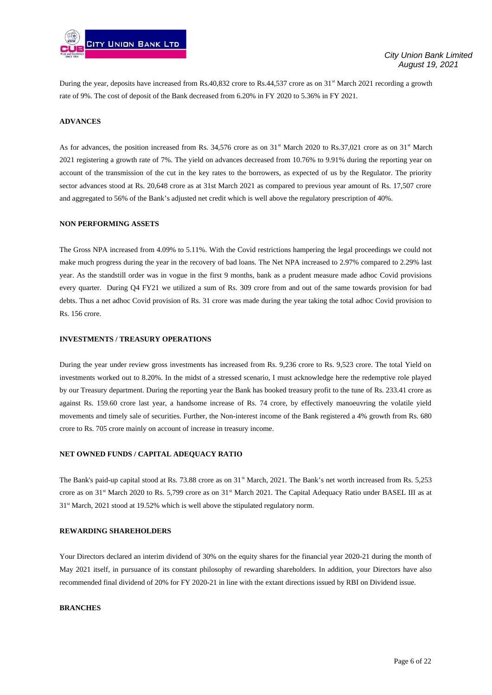

During the year, deposits have increased from Rs.40,832 crore to Rs.44,537 crore as on 31<sup>st</sup> March 2021 recording a growth rate of 9%. The cost of deposit of the Bank decreased from 6.20% in FY 2020 to 5.36% in FY 2021.

### **ADVANCES**

As for advances, the position increased from Rs. 34,576 crore as on  $31^{\text{st}}$  March 2020 to Rs.37,021 crore as on  $31^{\text{st}}$  March 2021 registering a growth rate of 7%. The yield on advances decreased from 10.76% to 9.91% during the reporting year on account of the transmission of the cut in the key rates to the borrowers, as expected of us by the Regulator. The priority sector advances stood at Rs. 20,648 crore as at 31st March 2021 as compared to previous year amount of Rs. 17,507 crore and aggregated to 56% of the Bank's adjusted net credit which is well above the regulatory prescription of 40%.

# **NON PERFORMING ASSETS**

The Gross NPA increased from 4.09% to 5.11%. With the Covid restrictions hampering the legal proceedings we could not make much progress during the year in the recovery of bad loans. The Net NPA increased to 2.97% compared to 2.29% last year. As the standstill order was in vogue in the first 9 months, bank as a prudent measure made adhoc Covid provisions every quarter. During Q4 FY21 we utilized a sum of Rs. 309 crore from and out of the same towards provision for bad debts. Thus a net adhoc Covid provision of Rs. 31 crore was made during the year taking the total adhoc Covid provision to Rs. 156 crore.

# **INVESTMENTS / TREASURY OPERATIONS**

During the year under review gross investments has increased from Rs. 9,236 crore to Rs. 9,523 crore. The total Yield on investments worked out to 8.20%. In the midst of a stressed scenario, I must acknowledge here the redemptive role played by our Treasury department. During the reporting year the Bank has booked treasury profit to the tune of Rs. 233.41 crore as against Rs. 159.60 crore last year, a handsome increase of Rs. 74 crore, by effectively manoeuvring the volatile yield movements and timely sale of securities. Further, the Non-interest income of the Bank registered a 4% growth from Rs. 680 crore to Rs. 705 crore mainly on account of increase in treasury income.

#### **NET OWNED FUNDS / CAPITAL ADEQUACY RATIO**

The Bank's paid-up capital stood at Rs. 73.88 crore as on 31<sup>st</sup> March, 2021. The Bank's net worth increased from Rs. 5,253 crore as on 31<sup>st</sup> March 2020 to Rs. 5,799 crore as on 31<sup>st</sup> March 2021. The Capital Adequacy Ratio under BASEL III as at 31<sup>st</sup> March, 2021 stood at 19.52% which is well above the stipulated regulatory norm.

# **REWARDING SHAREHOLDERS**

Your Directors declared an interim dividend of 30% on the equity shares for the financial year 2020-21 during the month of May 2021 itself, in pursuance of its constant philosophy of rewarding shareholders. In addition, your Directors have also recommended final dividend of 20% for FY 2020-21 in line with the extant directions issued by RBI on Dividend issue.

#### **BRANCHES**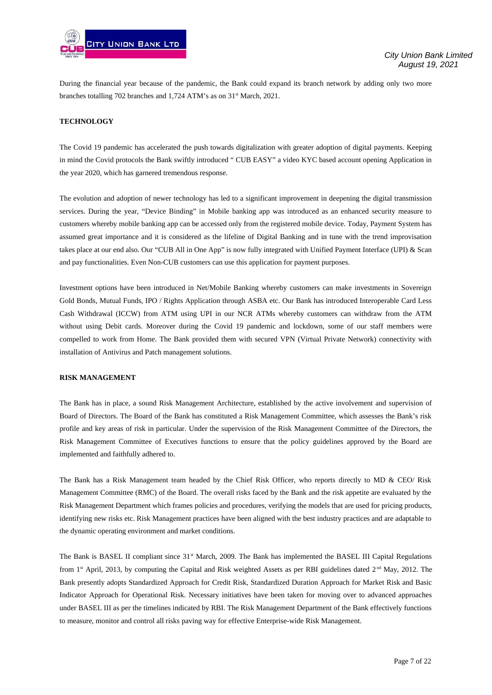

During the financial year because of the pandemic, the Bank could expand its branch network by adding only two more branches totalling 702 branches and  $1.724$  ATM's as on  $31<sup>st</sup>$  March, 2021.

#### **TECHNOLOGY**

The Covid 19 pandemic has accelerated the push towards digitalization with greater adoption of digital payments. Keeping in mind the Covid protocols the Bank swiftly introduced " CUB EASY" a video KYC based account opening Application in the year 2020, which has garnered tremendous response.

The evolution and adoption of newer technology has led to a significant improvement in deepening the digital transmission services. During the year, "Device Binding" in Mobile banking app was introduced as an enhanced security measure to customers whereby mobile banking app can be accessed only from the registered mobile device. Today, Payment System has assumed great importance and it is considered as the lifeline of Digital Banking and in tune with the trend improvisation takes place at our end also. Our "CUB All in One App" is now fully integrated with Unified Payment Interface (UPI) & Scan and pay functionalities. Even Non-CUB customers can use this application for payment purposes.

Investment options have been introduced in Net/Mobile Banking whereby customers can make investments in Sovereign Gold Bonds, Mutual Funds, IPO / Rights Application through ASBA etc. Our Bank has introduced Interoperable Card Less Cash Withdrawal (ICCW) from ATM using UPI in our NCR ATMs whereby customers can withdraw from the ATM without using Debit cards. Moreover during the Covid 19 pandemic and lockdown, some of our staff members were compelled to work from Home. The Bank provided them with secured VPN (Virtual Private Network) connectivity with installation of Antivirus and Patch management solutions.

#### **RISK MANAGEMENT**

The Bank has in place, a sound Risk Management Architecture, established by the active involvement and supervision of Board of Directors. The Board of the Bank has constituted a Risk Management Committee, which assesses the Bank's risk profile and key areas of risk in particular. Under the supervision of the Risk Management Committee of the Directors, the Risk Management Committee of Executives functions to ensure that the policy guidelines approved by the Board are implemented and faithfully adhered to.

The Bank has a Risk Management team headed by the Chief Risk Officer, who reports directly to MD & CEO/ Risk Management Committee (RMC) of the Board. The overall risks faced by the Bank and the risk appetite are evaluated by the Risk Management Department which frames policies and procedures, verifying the models that are used for pricing products, identifying new risks etc. Risk Management practices have been aligned with the best industry practices and are adaptable to the dynamic operating environment and market conditions.

The Bank is BASEL II compliant since 31<sup>st</sup> March, 2009. The Bank has implemented the BASEL III Capital Regulations from 1<sup>st</sup> April, 2013, by computing the Capital and Risk weighted Assets as per RBI guidelines dated  $2<sup>nd</sup>$  May, 2012. The Bank presently adopts Standardized Approach for Credit Risk, Standardized Duration Approach for Market Risk and Basic Indicator Approach for Operational Risk. Necessary initiatives have been taken for moving over to advanced approaches under BASEL III as per the timelines indicated by RBI. The Risk Management Department of the Bank effectively functions to measure, monitor and control all risks paving way for effective Enterprise-wide Risk Management.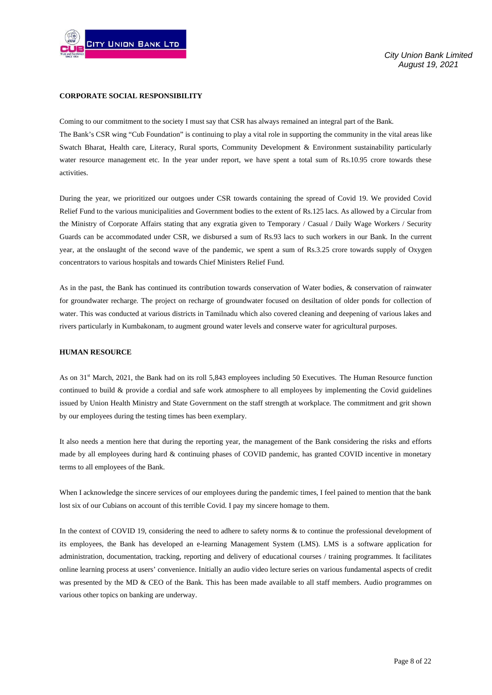

# **CORPORATE SOCIAL RESPONSIBILITY**

Coming to our commitment to the society I must say that CSR has always remained an integral part of the Bank. The Bank's CSR wing "Cub Foundation" is continuing to play a vital role in supporting the community in the vital areas like Swatch Bharat, Health care, Literacy, Rural sports, Community Development & Environment sustainability particularly water resource management etc. In the year under report, we have spent a total sum of Rs.10.95 crore towards these activities.

During the year, we prioritized our outgoes under CSR towards containing the spread of Covid 19. We provided Covid Relief Fund to the various municipalities and Government bodies to the extent of Rs.125 lacs. As allowed by a Circular from the Ministry of Corporate Affairs stating that any exgratia given to Temporary / Casual / Daily Wage Workers / Security Guards can be accommodated under CSR, we disbursed a sum of Rs.93 lacs to such workers in our Bank. In the current year, at the onslaught of the second wave of the pandemic, we spent a sum of Rs.3.25 crore towards supply of Oxygen concentrators to various hospitals and towards Chief Ministers Relief Fund.

As in the past, the Bank has continued its contribution towards conservation of Water bodies, & conservation of rainwater for groundwater recharge. The project on recharge of groundwater focused on desiltation of older ponds for collection of water. This was conducted at various districts in Tamilnadu which also covered cleaning and deepening of various lakes and rivers particularly in Kumbakonam, to augment ground water levels and conserve water for agricultural purposes.

#### **HUMAN RESOURCE**

As on 31<sup>st</sup> March, 2021, the Bank had on its roll 5,843 employees including 50 Executives. The Human Resource function continued to build & provide a cordial and safe work atmosphere to all employees by implementing the Covid guidelines issued by Union Health Ministry and State Government on the staff strength at workplace. The commitment and grit shown by our employees during the testing times has been exemplary.

It also needs a mention here that during the reporting year, the management of the Bank considering the risks and efforts made by all employees during hard & continuing phases of COVID pandemic, has granted COVID incentive in monetary terms to all employees of the Bank.

When I acknowledge the sincere services of our employees during the pandemic times, I feel pained to mention that the bank lost six of our Cubians on account of this terrible Covid. I pay my sincere homage to them.

In the context of COVID 19, considering the need to adhere to safety norms & to continue the professional development of its employees, the Bank has developed an e-learning Management System (LMS). LMS is a software application for administration, documentation, tracking, reporting and delivery of educational courses / training programmes. It facilitates online learning process at users' convenience. Initially an audio video lecture series on various fundamental aspects of credit was presented by the MD & CEO of the Bank. This has been made available to all staff members. Audio programmes on various other topics on banking are underway.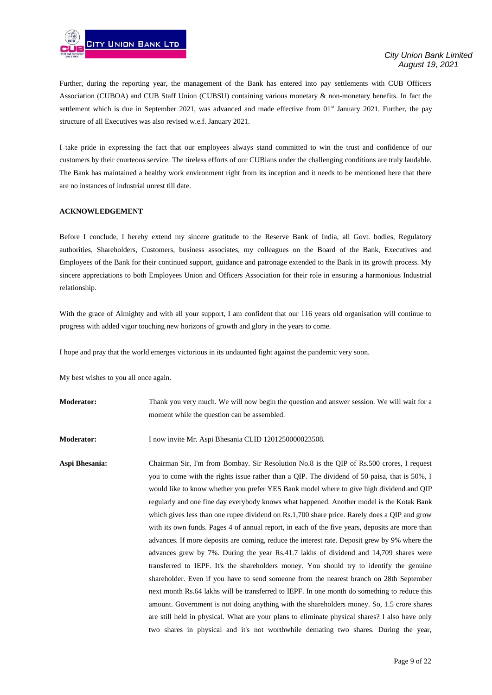

Further, during the reporting year, the management of the Bank has entered into pay settlements with CUB Officers Association (CUBOA) and CUB Staff Union (CUBSU) containing various monetary & non-monetary benefits. In fact the settlement which is due in September 2021, was advanced and made effective from 01<sup>st</sup> January 2021. Further, the pay structure of all Executives was also revised w.e.f. January 2021.

I take pride in expressing the fact that our employees always stand committed to win the trust and confidence of our customers by their courteous service. The tireless efforts of our CUBians under the challenging conditions are truly laudable. The Bank has maintained a healthy work environment right from its inception and it needs to be mentioned here that there are no instances of industrial unrest till date.

#### **ACKNOWLEDGEMENT**

Before I conclude, I hereby extend my sincere gratitude to the Reserve Bank of India, all Govt. bodies, Regulatory authorities, Shareholders, Customers, business associates, my colleagues on the Board of the Bank, Executives and Employees of the Bank for their continued support, guidance and patronage extended to the Bank in its growth process. My sincere appreciations to both Employees Union and Officers Association for their role in ensuring a harmonious Industrial relationship.

With the grace of Almighty and with all your support, I am confident that our 116 years old organisation will continue to progress with added vigor touching new horizons of growth and glory in the years to come.

I hope and pray that the world emerges victorious in its undaunted fight against the pandemic very soon.

My best wishes to you all once again.

**Moderator:** Thank you very much. We will now begin the question and answer session. We will wait for a moment while the question can be assembled.

**Moderator:** I now invite Mr. Aspi Bhesania CLID 1201250000023508.

**Aspi Bhesania:** Chairman Sir, I'm from Bombay. Sir Resolution No.8 is the QIP of Rs.500 crores, I request you to come with the rights issue rather than a QIP. The dividend of 50 paisa, that is 50%, I would like to know whether you prefer YES Bank model where to give high dividend and QIP regularly and one fine day everybody knows what happened. Another model is the Kotak Bank which gives less than one rupee dividend on Rs.1,700 share price. Rarely does a QIP and grow with its own funds. Pages 4 of annual report, in each of the five years, deposits are more than advances. If more deposits are coming, reduce the interest rate. Deposit grew by 9% where the advances grew by 7%. During the year Rs.41.7 lakhs of dividend and 14,709 shares were transferred to IEPF. It's the shareholders money. You should try to identify the genuine shareholder. Even if you have to send someone from the nearest branch on 28th September next month Rs.64 lakhs will be transferred to IEPF. In one month do something to reduce this amount. Government is not doing anything with the shareholders money. So, 1.5 crore shares are still held in physical. What are your plans to eliminate physical shares? I also have only two shares in physical and it's not worthwhile demating two shares. During the year,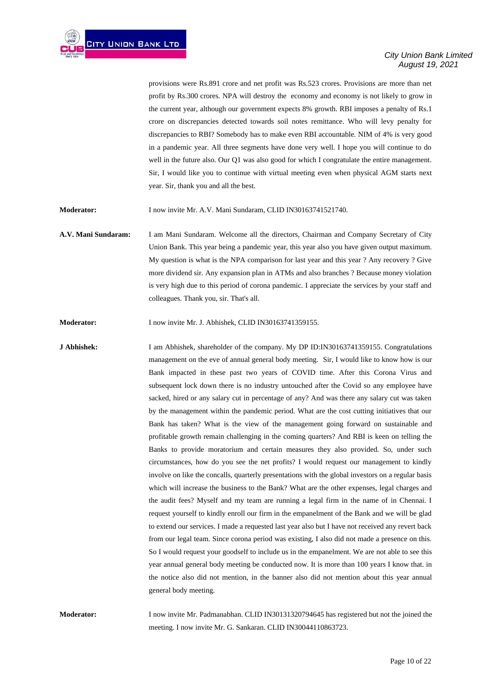provisions were Rs.891 crore and net profit was Rs.523 crores. Provisions are more than net profit by Rs.300 crores. NPA will destroy the economy and economy is not likely to grow in the current year, although our government expects 8% growth. RBI imposes a penalty of Rs.1 crore on discrepancies detected towards soil notes remittance. Who will levy penalty for discrepancies to RBI? Somebody has to make even RBI accountable. NIM of 4% is very good in a pandemic year. All three segments have done very well. I hope you will continue to do well in the future also. Our Q1 was also good for which I congratulate the entire management. Sir, I would like you to continue with virtual meeting even when physical AGM starts next year. Sir, thank you and all the best.

**Moderator:** I now invite Mr. A.V. Mani Sundaram, CLID IN30163741521740.

**A.V. Mani Sundaram:** I am Mani Sundaram. Welcome all the directors, Chairman and Company Secretary of City Union Bank. This year being a pandemic year, this year also you have given output maximum. My question is what is the NPA comparison for last year and this year ? Any recovery ? Give more dividend sir. Any expansion plan in ATMs and also branches ? Because money violation is very high due to this period of corona pandemic. I appreciate the services by your staff and colleagues. Thank you, sir. That's all.

**Moderator:** I now invite Mr. J. Abhishek, CLID IN30163741359155.

**J Abhishek:** I am Abhishek, shareholder of the company. My DP ID:IN30163741359155. Congratulations management on the eve of annual general body meeting. Sir, I would like to know how is our Bank impacted in these past two years of COVID time. After this Corona Virus and subsequent lock down there is no industry untouched after the Covid so any employee have sacked, hired or any salary cut in percentage of any? And was there any salary cut was taken by the management within the pandemic period. What are the cost cutting initiatives that our Bank has taken? What is the view of the management going forward on sustainable and profitable growth remain challenging in the coming quarters? And RBI is keen on telling the Banks to provide moratorium and certain measures they also provided. So, under such circumstances, how do you see the net profits? I would request our management to kindly involve on like the concalls, quarterly presentations with the global investors on a regular basis which will increase the business to the Bank? What are the other expenses, legal charges and the audit fees? Myself and my team are running a legal firm in the name of in Chennai. I request yourself to kindly enroll our firm in the empanelment of the Bank and we will be glad to extend our services. I made a requested last year also but I have not received any revert back from our legal team. Since corona period was existing, I also did not made a presence on this. So I would request your goodself to include us in the empanelment. We are not able to see this year annual general body meeting be conducted now. It is more than 100 years I know that. in the notice also did not mention, in the banner also did not mention about this year annual general body meeting.

**Moderator:** I now invite Mr. Padmanabhan. CLID IN30131320794645 has registered but not the joined the meeting. I now invite Mr. G. Sankaran. CLID IN30044110863723.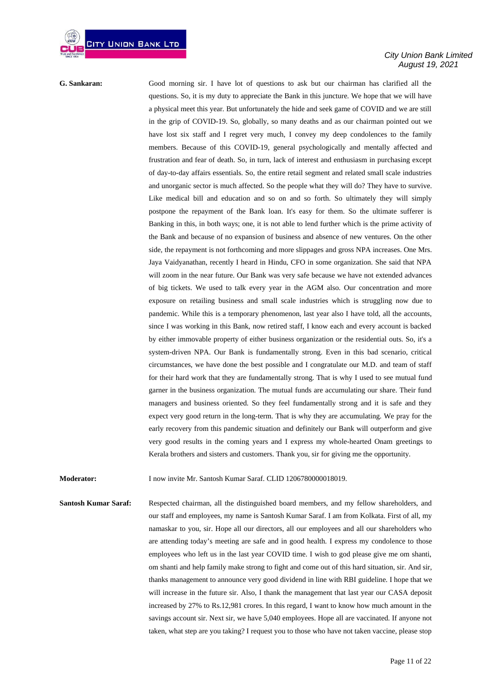*City Union Bank Limited August 19, 2021*

**G. Sankaran:** Good morning sir. I have lot of questions to ask but our chairman has clarified all the questions. So, it is my duty to appreciate the Bank in this juncture. We hope that we will have a physical meet this year. But unfortunately the hide and seek game of COVID and we are still in the grip of COVID-19. So, globally, so many deaths and as our chairman pointed out we have lost six staff and I regret very much, I convey my deep condolences to the family members. Because of this COVID-19, general psychologically and mentally affected and frustration and fear of death. So, in turn, lack of interest and enthusiasm in purchasing except of day-to-day affairs essentials. So, the entire retail segment and related small scale industries and unorganic sector is much affected. So the people what they will do? They have to survive. Like medical bill and education and so on and so forth. So ultimately they will simply postpone the repayment of the Bank loan. It's easy for them. So the ultimate sufferer is Banking in this, in both ways; one, it is not able to lend further which is the prime activity of the Bank and because of no expansion of business and absence of new ventures. On the other side, the repayment is not forthcoming and more slippages and gross NPA increases. One Mrs. Jaya Vaidyanathan, recently I heard in Hindu, CFO in some organization. She said that NPA will zoom in the near future. Our Bank was very safe because we have not extended advances of big tickets. We used to talk every year in the AGM also. Our concentration and more exposure on retailing business and small scale industries which is struggling now due to pandemic. While this is a temporary phenomenon, last year also I have told, all the accounts, since I was working in this Bank, now retired staff, I know each and every account is backed by either immovable property of either business organization or the residential outs. So, it's a system-driven NPA. Our Bank is fundamentally strong. Even in this bad scenario, critical circumstances, we have done the best possible and I congratulate our M.D. and team of staff for their hard work that they are fundamentally strong. That is why I used to see mutual fund garner in the business organization. The mutual funds are accumulating our share. Their fund managers and business oriented. So they feel fundamentally strong and it is safe and they expect very good return in the long-term. That is why they are accumulating. We pray for the early recovery from this pandemic situation and definitely our Bank will outperform and give very good results in the coming years and I express my whole-hearted Onam greetings to Kerala brothers and sisters and customers. Thank you, sir for giving me the opportunity.

**Moderator:** I now invite Mr. Santosh Kumar Saraf. CLID 1206780000018019.

**Santosh Kumar Saraf:** Respected chairman, all the distinguished board members, and my fellow shareholders, and our staff and employees, my name is Santosh Kumar Saraf. I am from Kolkata. First of all, my namaskar to you, sir. Hope all our directors, all our employees and all our shareholders who are attending today's meeting are safe and in good health. I express my condolence to those employees who left us in the last year COVID time. I wish to god please give me om shanti, om shanti and help family make strong to fight and come out of this hard situation, sir. And sir, thanks management to announce very good dividend in line with RBI guideline. I hope that we will increase in the future sir. Also, I thank the management that last year our CASA deposit increased by 27% to Rs.12,981 crores. In this regard, I want to know how much amount in the savings account sir. Next sir, we have 5,040 employees. Hope all are vaccinated. If anyone not taken, what step are you taking? I request you to those who have not taken vaccine, please stop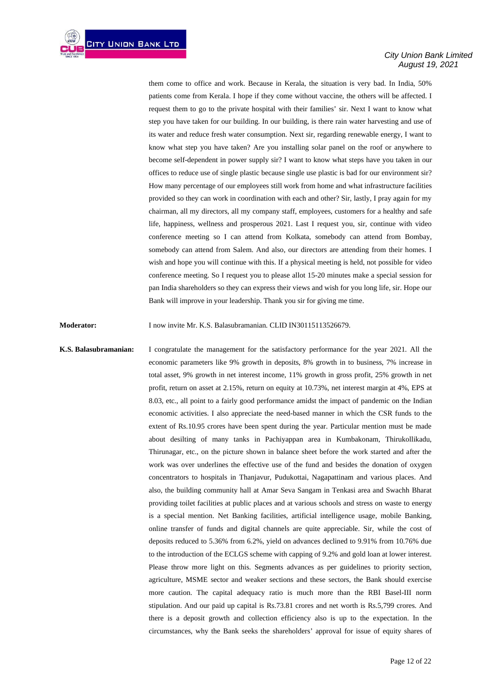them come to office and work. Because in Kerala, the situation is very bad. In India, 50% patients come from Kerala. I hope if they come without vaccine, the others will be affected. I request them to go to the private hospital with their families' sir. Next I want to know what step you have taken for our building. In our building, is there rain water harvesting and use of its water and reduce fresh water consumption. Next sir, regarding renewable energy, I want to know what step you have taken? Are you installing solar panel on the roof or anywhere to become self-dependent in power supply sir? I want to know what steps have you taken in our offices to reduce use of single plastic because single use plastic is bad for our environment sir? How many percentage of our employees still work from home and what infrastructure facilities provided so they can work in coordination with each and other? Sir, lastly, I pray again for my chairman, all my directors, all my company staff, employees, customers for a healthy and safe life, happiness, wellness and prosperous 2021. Last I request you, sir, continue with video conference meeting so I can attend from Kolkata, somebody can attend from Bombay, somebody can attend from Salem. And also, our directors are attending from their homes. I wish and hope you will continue with this. If a physical meeting is held, not possible for video conference meeting. So I request you to please allot 15-20 minutes make a special session for pan India shareholders so they can express their views and wish for you long life, sir. Hope our Bank will improve in your leadership. Thank you sir for giving me time.

**Moderator:** I now invite Mr. K.S. Balasubramanian. CLID IN30115113526679.

**K.S. Balasubramanian:** I congratulate the management for the satisfactory performance for the year 2021. All the economic parameters like 9% growth in deposits, 8% growth in to business, 7% increase in total asset, 9% growth in net interest income, 11% growth in gross profit, 25% growth in net profit, return on asset at 2.15%, return on equity at 10.73%, net interest margin at 4%, EPS at 8.03, etc., all point to a fairly good performance amidst the impact of pandemic on the Indian economic activities. I also appreciate the need-based manner in which the CSR funds to the extent of Rs.10.95 crores have been spent during the year. Particular mention must be made about desilting of many tanks in Pachiyappan area in Kumbakonam, Thirukollikadu, Thirunagar, etc., on the picture shown in balance sheet before the work started and after the work was over underlines the effective use of the fund and besides the donation of oxygen concentrators to hospitals in Thanjavur, Pudukottai, Nagapattinam and various places. And also, the building community hall at Amar Seva Sangam in Tenkasi area and Swachh Bharat providing toilet facilities at public places and at various schools and stress on waste to energy is a special mention. Net Banking facilities, artificial intelligence usage, mobile Banking, online transfer of funds and digital channels are quite appreciable. Sir, while the cost of deposits reduced to 5.36% from 6.2%, yield on advances declined to 9.91% from 10.76% due to the introduction of the ECLGS scheme with capping of 9.2% and gold loan at lower interest. Please throw more light on this. Segments advances as per guidelines to priority section, agriculture, MSME sector and weaker sections and these sectors, the Bank should exercise more caution. The capital adequacy ratio is much more than the RBI Basel-III norm stipulation. And our paid up capital is Rs.73.81 crores and net worth is Rs.5,799 crores. And there is a deposit growth and collection efficiency also is up to the expectation. In the circumstances, why the Bank seeks the shareholders' approval for issue of equity shares of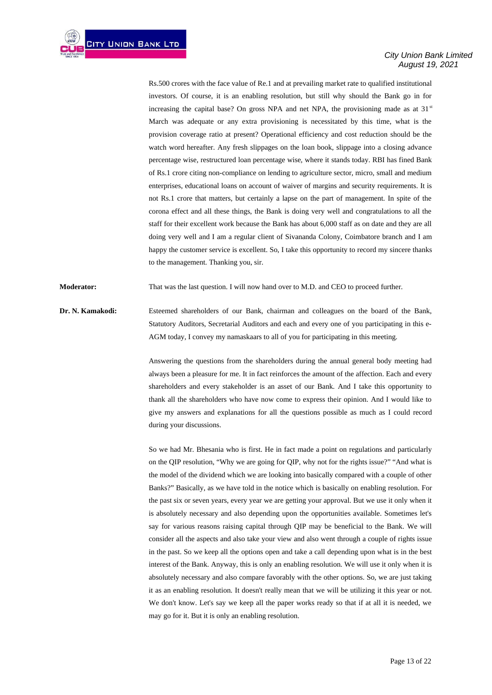Rs.500 crores with the face value of Re.1 and at prevailing market rate to qualified institutional investors. Of course, it is an enabling resolution, but still why should the Bank go in for increasing the capital base? On gross NPA and net NPA, the provisioning made as at  $31<sup>st</sup>$ March was adequate or any extra provisioning is necessitated by this time, what is the provision coverage ratio at present? Operational efficiency and cost reduction should be the watch word hereafter. Any fresh slippages on the loan book, slippage into a closing advance percentage wise, restructured loan percentage wise, where it stands today. RBI has fined Bank of Rs.1 crore citing non-compliance on lending to agriculture sector, micro, small and medium enterprises, educational loans on account of waiver of margins and security requirements. It is not Rs.1 crore that matters, but certainly a lapse on the part of management. In spite of the corona effect and all these things, the Bank is doing very well and congratulations to all the staff for their excellent work because the Bank has about 6,000 staff as on date and they are all doing very well and I am a regular client of Sivananda Colony, Coimbatore branch and I am happy the customer service is excellent. So, I take this opportunity to record my sincere thanks to the management. Thanking you, sir.

**Moderator:** That was the last question. I will now hand over to M.D. and CEO to proceed further.

**Dr. N. Kamakodi:** Esteemed shareholders of our Bank, chairman and colleagues on the board of the Bank, Statutory Auditors, Secretarial Auditors and each and every one of you participating in this e-AGM today, I convey my namaskaars to all of you for participating in this meeting.

> Answering the questions from the shareholders during the annual general body meeting had always been a pleasure for me. It in fact reinforces the amount of the affection. Each and every shareholders and every stakeholder is an asset of our Bank. And I take this opportunity to thank all the shareholders who have now come to express their opinion. And I would like to give my answers and explanations for all the questions possible as much as I could record during your discussions.

> So we had Mr. Bhesania who is first. He in fact made a point on regulations and particularly on the QIP resolution, "Why we are going for QIP, why not for the rights issue?" "And what is the model of the dividend which we are looking into basically compared with a couple of other Banks?" Basically, as we have told in the notice which is basically on enabling resolution. For the past six or seven years, every year we are getting your approval. But we use it only when it is absolutely necessary and also depending upon the opportunities available. Sometimes let's say for various reasons raising capital through QIP may be beneficial to the Bank. We will consider all the aspects and also take your view and also went through a couple of rights issue in the past. So we keep all the options open and take a call depending upon what is in the best interest of the Bank. Anyway, this is only an enabling resolution. We will use it only when it is absolutely necessary and also compare favorably with the other options. So, we are just taking it as an enabling resolution. It doesn't really mean that we will be utilizing it this year or not. We don't know. Let's say we keep all the paper works ready so that if at all it is needed, we may go for it. But it is only an enabling resolution.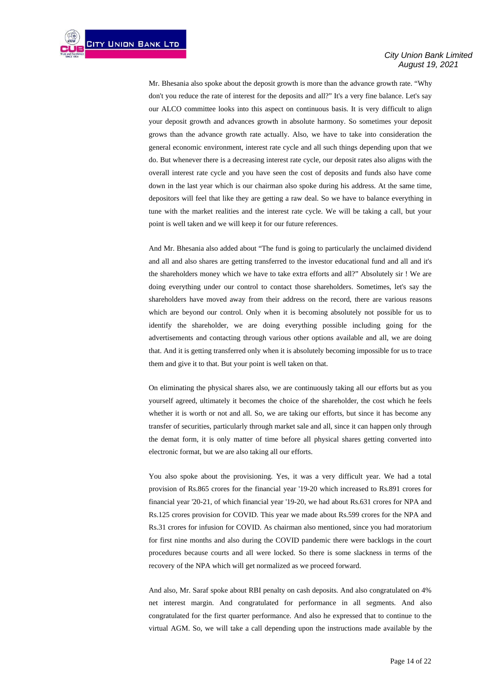Mr. Bhesania also spoke about the deposit growth is more than the advance growth rate. "Why don't you reduce the rate of interest for the deposits and all?" It's a very fine balance. Let's say our ALCO committee looks into this aspect on continuous basis. It is very difficult to align your deposit growth and advances growth in absolute harmony. So sometimes your deposit grows than the advance growth rate actually. Also, we have to take into consideration the general economic environment, interest rate cycle and all such things depending upon that we do. But whenever there is a decreasing interest rate cycle, our deposit rates also aligns with the overall interest rate cycle and you have seen the cost of deposits and funds also have come down in the last year which is our chairman also spoke during his address. At the same time, depositors will feel that like they are getting a raw deal. So we have to balance everything in tune with the market realities and the interest rate cycle. We will be taking a call, but your point is well taken and we will keep it for our future references.

And Mr. Bhesania also added about "The fund is going to particularly the unclaimed dividend and all and also shares are getting transferred to the investor educational fund and all and it's the shareholders money which we have to take extra efforts and all?" Absolutely sir ! We are doing everything under our control to contact those shareholders. Sometimes, let's say the shareholders have moved away from their address on the record, there are various reasons which are beyond our control. Only when it is becoming absolutely not possible for us to identify the shareholder, we are doing everything possible including going for the advertisements and contacting through various other options available and all, we are doing that. And it is getting transferred only when it is absolutely becoming impossible for us to trace them and give it to that. But your point is well taken on that.

On eliminating the physical shares also, we are continuously taking all our efforts but as you yourself agreed, ultimately it becomes the choice of the shareholder, the cost which he feels whether it is worth or not and all. So, we are taking our efforts, but since it has become any transfer of securities, particularly through market sale and all, since it can happen only through the demat form, it is only matter of time before all physical shares getting converted into electronic format, but we are also taking all our efforts.

You also spoke about the provisioning. Yes, it was a very difficult year. We had a total provision of Rs.865 crores for the financial year '19-20 which increased to Rs.891 crores for financial year '20-21, of which financial year '19-20, we had about Rs.631 crores for NPA and Rs.125 crores provision for COVID. This year we made about Rs.599 crores for the NPA and Rs.31 crores for infusion for COVID. As chairman also mentioned, since you had moratorium for first nine months and also during the COVID pandemic there were backlogs in the court procedures because courts and all were locked. So there is some slackness in terms of the recovery of the NPA which will get normalized as we proceed forward.

And also, Mr. Saraf spoke about RBI penalty on cash deposits. And also congratulated on 4% net interest margin. And congratulated for performance in all segments. And also congratulated for the first quarter performance. And also he expressed that to continue to the virtual AGM. So, we will take a call depending upon the instructions made available by the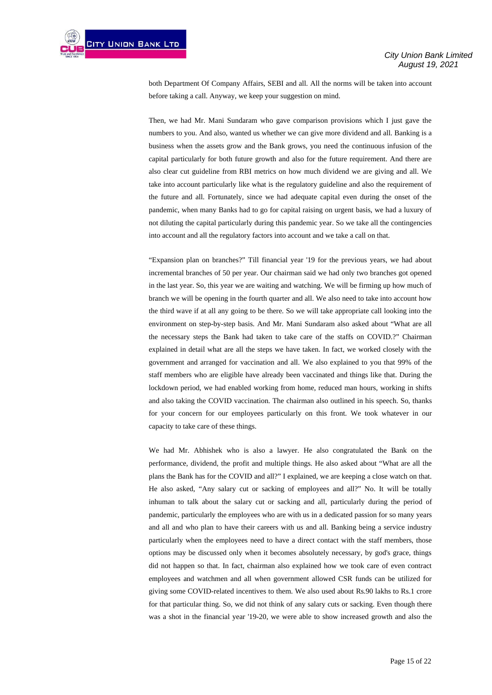

both Department Of Company Affairs, SEBI and all. All the norms will be taken into account before taking a call. Anyway, we keep your suggestion on mind.

Then, we had Mr. Mani Sundaram who gave comparison provisions which I just gave the numbers to you. And also, wanted us whether we can give more dividend and all. Banking is a business when the assets grow and the Bank grows, you need the continuous infusion of the capital particularly for both future growth and also for the future requirement. And there are also clear cut guideline from RBI metrics on how much dividend we are giving and all. We take into account particularly like what is the regulatory guideline and also the requirement of the future and all. Fortunately, since we had adequate capital even during the onset of the pandemic, when many Banks had to go for capital raising on urgent basis, we had a luxury of not diluting the capital particularly during this pandemic year. So we take all the contingencies into account and all the regulatory factors into account and we take a call on that.

"Expansion plan on branches?" Till financial year '19 for the previous years, we had about incremental branches of 50 per year. Our chairman said we had only two branches got opened in the last year. So, this year we are waiting and watching. We will be firming up how much of branch we will be opening in the fourth quarter and all. We also need to take into account how the third wave if at all any going to be there. So we will take appropriate call looking into the environment on step-by-step basis. And Mr. Mani Sundaram also asked about "What are all the necessary steps the Bank had taken to take care of the staffs on COVID.?" Chairman explained in detail what are all the steps we have taken. In fact, we worked closely with the government and arranged for vaccination and all. We also explained to you that 99% of the staff members who are eligible have already been vaccinated and things like that. During the lockdown period, we had enabled working from home, reduced man hours, working in shifts and also taking the COVID vaccination. The chairman also outlined in his speech. So, thanks for your concern for our employees particularly on this front. We took whatever in our capacity to take care of these things.

We had Mr. Abhishek who is also a lawyer. He also congratulated the Bank on the performance, dividend, the profit and multiple things. He also asked about "What are all the plans the Bank has for the COVID and all?" I explained, we are keeping a close watch on that. He also asked, "Any salary cut or sacking of employees and all?" No. It will be totally inhuman to talk about the salary cut or sacking and all, particularly during the period of pandemic, particularly the employees who are with us in a dedicated passion for so many years and all and who plan to have their careers with us and all. Banking being a service industry particularly when the employees need to have a direct contact with the staff members, those options may be discussed only when it becomes absolutely necessary, by god's grace, things did not happen so that. In fact, chairman also explained how we took care of even contract employees and watchmen and all when government allowed CSR funds can be utilized for giving some COVID-related incentives to them. We also used about Rs.90 lakhs to Rs.1 crore for that particular thing. So, we did not think of any salary cuts or sacking. Even though there was a shot in the financial year '19-20, we were able to show increased growth and also the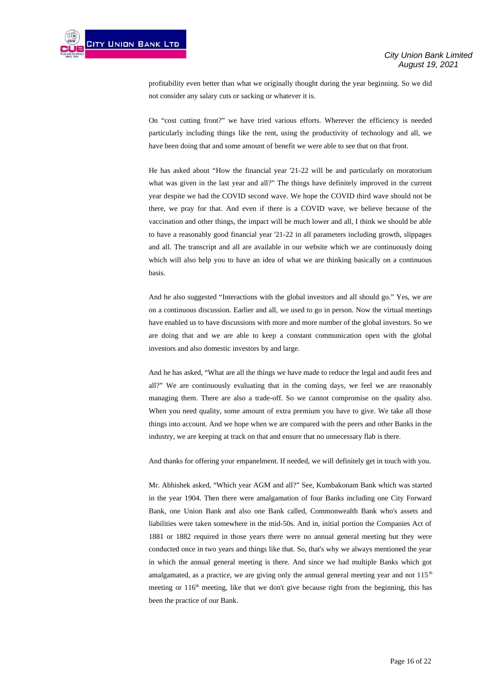

profitability even better than what we originally thought during the year beginning. So we did not consider any salary cuts or sacking or whatever it is.

On "cost cutting front?" we have tried various efforts. Wherever the efficiency is needed particularly including things like the rent, using the productivity of technology and all, we have been doing that and some amount of benefit we were able to see that on that front.

He has asked about "How the financial year '21-22 will be and particularly on moratorium what was given in the last year and all?" The things have definitely improved in the current year despite we had the COVID second wave. We hope the COVID third wave should not be there, we pray for that. And even if there is a COVID wave, we believe because of the vaccination and other things, the impact will be much lower and all, I think we should be able to have a reasonably good financial year '21-22 in all parameters including growth, slippages and all. The transcript and all are available in our website which we are continuously doing which will also help you to have an idea of what we are thinking basically on a continuous basis.

And he also suggested "Interactions with the global investors and all should go." Yes, we are on a continuous discussion. Earlier and all, we used to go in person. Now the virtual meetings have enabled us to have discussions with more and more number of the global investors. So we are doing that and we are able to keep a constant communication open with the global investors and also domestic investors by and large.

And he has asked, "What are all the things we have made to reduce the legal and audit fees and all?" We are continuously evaluating that in the coming days, we feel we are reasonably managing them. There are also a trade-off. So we cannot compromise on the quality also. When you need quality, some amount of extra premium you have to give. We take all those things into account. And we hope when we are compared with the peers and other Banks in the industry, we are keeping at track on that and ensure that no unnecessary flab is there.

And thanks for offering your empanelment. If needed, we will definitely get in touch with you.

Mr. Abhishek asked, "Which year AGM and all?" See, Kumbakonam Bank which was started in the year 1904. Then there were amalgamation of four Banks including one City Forward Bank, one Union Bank and also one Bank called, Commonwealth Bank who's assets and liabilities were taken somewhere in the mid-50s. And in, initial portion the Companies Act of 1881 or 1882 required in those years there were no annual general meeting but they were conducted once in two years and things like that. So, that's why we always mentioned the year in which the annual general meeting is there. And since we had multiple Banks which got amalgamated, as a practice, we are giving only the annual general meeting year and not  $115<sup>th</sup>$ meeting or 116<sup>th</sup> meeting, like that we don't give because right from the beginning, this has been the practice of our Bank.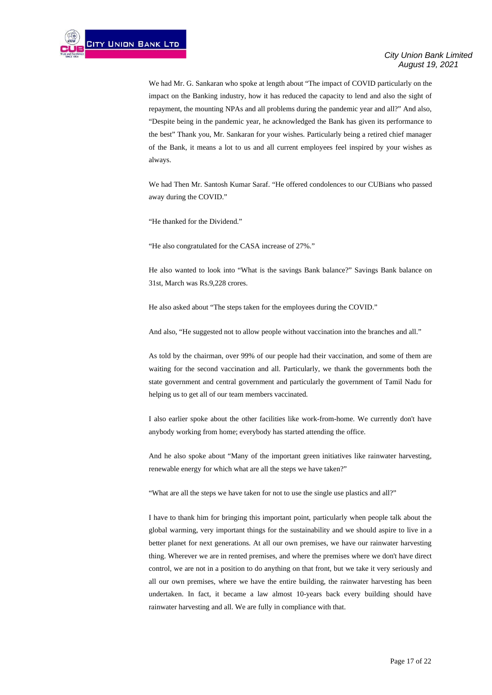We had Mr. G. Sankaran who spoke at length about "The impact of COVID particularly on the impact on the Banking industry, how it has reduced the capacity to lend and also the sight of repayment, the mounting NPAs and all problems during the pandemic year and all?" And also, "Despite being in the pandemic year, he acknowledged the Bank has given its performance to the best" Thank you, Mr. Sankaran for your wishes. Particularly being a retired chief manager of the Bank, it means a lot to us and all current employees feel inspired by your wishes as always.

We had Then Mr. Santosh Kumar Saraf. "He offered condolences to our CUBians who passed away during the COVID."

"He thanked for the Dividend."

"He also congratulated for the CASA increase of 27%."

He also wanted to look into "What is the savings Bank balance?" Savings Bank balance on 31st, March was Rs.9,228 crores.

He also asked about "The steps taken for the employees during the COVID."

And also, "He suggested not to allow people without vaccination into the branches and all."

As told by the chairman, over 99% of our people had their vaccination, and some of them are waiting for the second vaccination and all. Particularly, we thank the governments both the state government and central government and particularly the government of Tamil Nadu for helping us to get all of our team members vaccinated.

I also earlier spoke about the other facilities like work-from-home. We currently don't have anybody working from home; everybody has started attending the office.

And he also spoke about "Many of the important green initiatives like rainwater harvesting, renewable energy for which what are all the steps we have taken?"

"What are all the steps we have taken for not to use the single use plastics and all?"

I have to thank him for bringing this important point, particularly when people talk about the global warming, very important things for the sustainability and we should aspire to live in a better planet for next generations. At all our own premises, we have our rainwater harvesting thing. Wherever we are in rented premises, and where the premises where we don't have direct control, we are not in a position to do anything on that front, but we take it very seriously and all our own premises, where we have the entire building, the rainwater harvesting has been undertaken. In fact, it became a law almost 10-years back every building should have rainwater harvesting and all. We are fully in compliance with that.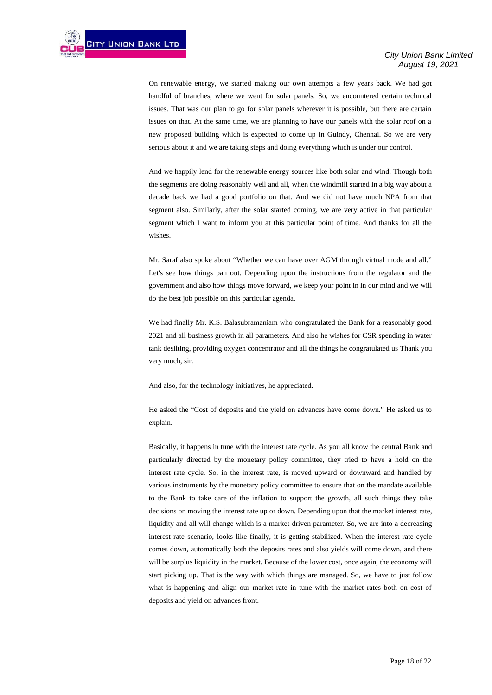On renewable energy, we started making our own attempts a few years back. We had got handful of branches, where we went for solar panels. So, we encountered certain technical issues. That was our plan to go for solar panels wherever it is possible, but there are certain issues on that. At the same time, we are planning to have our panels with the solar roof on a new proposed building which is expected to come up in Guindy, Chennai. So we are very serious about it and we are taking steps and doing everything which is under our control.

And we happily lend for the renewable energy sources like both solar and wind. Though both the segments are doing reasonably well and all, when the windmill started in a big way about a decade back we had a good portfolio on that. And we did not have much NPA from that segment also. Similarly, after the solar started coming, we are very active in that particular segment which I want to inform you at this particular point of time. And thanks for all the wishes.

Mr. Saraf also spoke about "Whether we can have over AGM through virtual mode and all." Let's see how things pan out. Depending upon the instructions from the regulator and the government and also how things move forward, we keep your point in in our mind and we will do the best job possible on this particular agenda.

We had finally Mr. K.S. Balasubramaniam who congratulated the Bank for a reasonably good 2021 and all business growth in all parameters. And also he wishes for CSR spending in water tank desilting, providing oxygen concentrator and all the things he congratulated us Thank you very much, sir.

And also, for the technology initiatives, he appreciated.

He asked the "Cost of deposits and the yield on advances have come down." He asked us to explain.

Basically, it happens in tune with the interest rate cycle. As you all know the central Bank and particularly directed by the monetary policy committee, they tried to have a hold on the interest rate cycle. So, in the interest rate, is moved upward or downward and handled by various instruments by the monetary policy committee to ensure that on the mandate available to the Bank to take care of the inflation to support the growth, all such things they take decisions on moving the interest rate up or down. Depending upon that the market interest rate, liquidity and all will change which is a market-driven parameter. So, we are into a decreasing interest rate scenario, looks like finally, it is getting stabilized. When the interest rate cycle comes down, automatically both the deposits rates and also yields will come down, and there will be surplus liquidity in the market. Because of the lower cost, once again, the economy will start picking up. That is the way with which things are managed. So, we have to just follow what is happening and align our market rate in tune with the market rates both on cost of deposits and yield on advances front.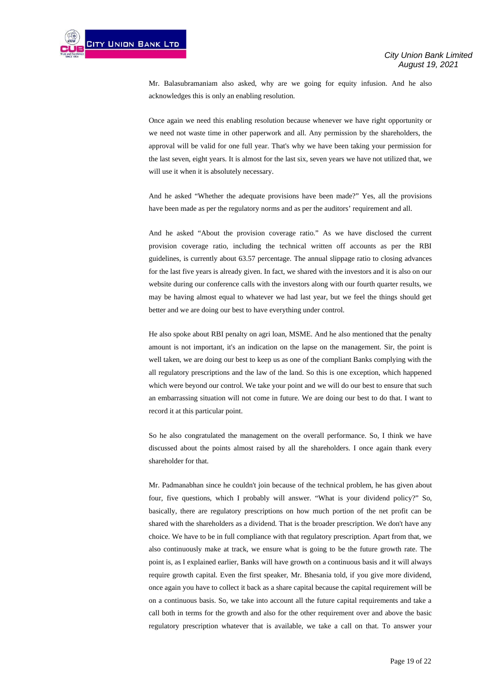

Mr. Balasubramaniam also asked, why are we going for equity infusion. And he also acknowledges this is only an enabling resolution.

Once again we need this enabling resolution because whenever we have right opportunity or we need not waste time in other paperwork and all. Any permission by the shareholders, the approval will be valid for one full year. That's why we have been taking your permission for the last seven, eight years. It is almost for the last six, seven years we have not utilized that, we will use it when it is absolutely necessary.

And he asked "Whether the adequate provisions have been made?" Yes, all the provisions have been made as per the regulatory norms and as per the auditors' requirement and all.

And he asked "About the provision coverage ratio." As we have disclosed the current provision coverage ratio, including the technical written off accounts as per the RBI guidelines, is currently about 63.57 percentage. The annual slippage ratio to closing advances for the last five years is already given. In fact, we shared with the investors and it is also on our website during our conference calls with the investors along with our fourth quarter results, we may be having almost equal to whatever we had last year, but we feel the things should get better and we are doing our best to have everything under control.

He also spoke about RBI penalty on agri loan, MSME. And he also mentioned that the penalty amount is not important, it's an indication on the lapse on the management. Sir, the point is well taken, we are doing our best to keep us as one of the compliant Banks complying with the all regulatory prescriptions and the law of the land. So this is one exception, which happened which were beyond our control. We take your point and we will do our best to ensure that such an embarrassing situation will not come in future. We are doing our best to do that. I want to record it at this particular point.

So he also congratulated the management on the overall performance. So, I think we have discussed about the points almost raised by all the shareholders. I once again thank every shareholder for that.

Mr. Padmanabhan since he couldn't join because of the technical problem, he has given about four, five questions, which I probably will answer. "What is your dividend policy?" So, basically, there are regulatory prescriptions on how much portion of the net profit can be shared with the shareholders as a dividend. That is the broader prescription. We don't have any choice. We have to be in full compliance with that regulatory prescription. Apart from that, we also continuously make at track, we ensure what is going to be the future growth rate. The point is, as I explained earlier, Banks will have growth on a continuous basis and it will always require growth capital. Even the first speaker, Mr. Bhesania told, if you give more dividend, once again you have to collect it back as a share capital because the capital requirement will be on a continuous basis. So, we take into account all the future capital requirements and take a call both in terms for the growth and also for the other requirement over and above the basic regulatory prescription whatever that is available, we take a call on that. To answer your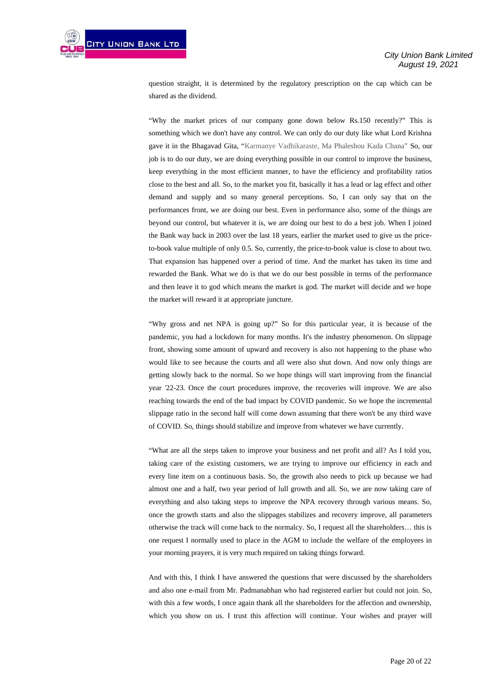question straight, it is determined by the regulatory prescription on the cap which can be shared as the dividend.

"Why the market prices of our company gone down below Rs.150 recently?" This is something which we don't have any control. We can only do our duty like what Lord Krishna gave it in the Bhagavad Gita, "Karmanye Vadhikaraste, Ma Phaleshou Kada Chana" So, our job is to do our duty, we are doing everything possible in our control to improve the business, keep everything in the most efficient manner, to have the efficiency and profitability ratios close to the best and all. So, to the market you fit, basically it has a lead or lag effect and other demand and supply and so many general perceptions. So, I can only say that on the performances front, we are doing our best. Even in performance also, some of the things are beyond our control, but whatever it is, we are doing our best to do a best job. When I joined the Bank way back in 2003 over the last 18 years, earlier the market used to give us the priceto-book value multiple of only 0.5. So, currently, the price-to-book value is close to about two. That expansion has happened over a period of time. And the market has taken its time and rewarded the Bank. What we do is that we do our best possible in terms of the performance and then leave it to god which means the market is god. The market will decide and we hope the market will reward it at appropriate juncture.

"Why gross and net NPA is going up?" So for this particular year, it is because of the pandemic, you had a lockdown for many months. It's the industry phenomenon. On slippage front, showing some amount of upward and recovery is also not happening to the phase who would like to see because the courts and all were also shut down. And now only things are getting slowly back to the normal. So we hope things will start improving from the financial year '22-23. Once the court procedures improve, the recoveries will improve. We are also reaching towards the end of the bad impact by COVID pandemic. So we hope the incremental slippage ratio in the second half will come down assuming that there won't be any third wave of COVID. So, things should stabilize and improve from whatever we have currently.

"What are all the steps taken to improve your business and net profit and all? As I told you, taking care of the existing customers, we are trying to improve our efficiency in each and every line item on a continuous basis. So, the growth also needs to pick up because we had almost one and a half, two year period of lull growth and all. So, we are now taking care of everything and also taking steps to improve the NPA recovery through various means. So, once the growth starts and also the slippages stabilizes and recovery improve, all parameters otherwise the track will come back to the normalcy. So, I request all the shareholders… this is one request I normally used to place in the AGM to include the welfare of the employees in your morning prayers, it is very much required on taking things forward.

And with this, I think I have answered the questions that were discussed by the shareholders and also one e-mail from Mr. Padmanabhan who had registered earlier but could not join. So, with this a few words, I once again thank all the shareholders for the affection and ownership, which you show on us. I trust this affection will continue. Your wishes and prayer will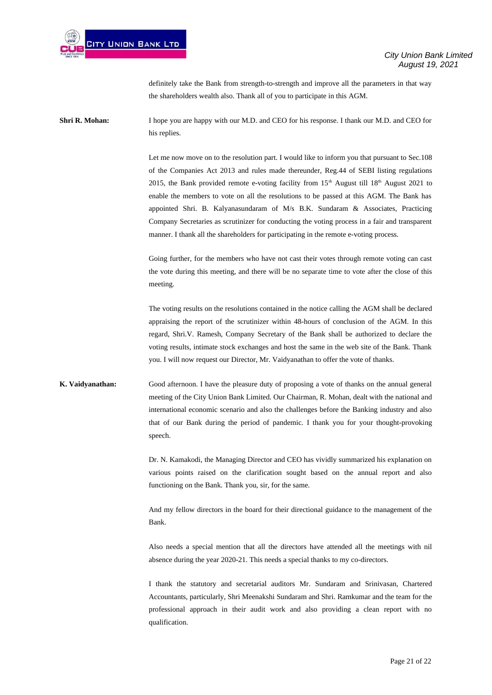definitely take the Bank from strength-to-strength and improve all the parameters in that way the shareholders wealth also. Thank all of you to participate in this AGM.

**Shri R. Mohan:** I hope you are happy with our M.D. and CEO for his response. I thank our M.D. and CEO for his replies.

> Let me now move on to the resolution part. I would like to inform you that pursuant to Sec.108 of the Companies Act 2013 and rules made thereunder, Reg.44 of SEBI listing regulations 2015, the Bank provided remote e-voting facility from  $15<sup>th</sup>$  August till  $18<sup>th</sup>$  August 2021 to enable the members to vote on all the resolutions to be passed at this AGM. The Bank has appointed Shri. B. Kalyanasundaram of M/s B.K. Sundaram & Associates, Practicing Company Secretaries as scrutinizer for conducting the voting process in a fair and transparent manner. I thank all the shareholders for participating in the remote e-voting process.

> Going further, for the members who have not cast their votes through remote voting can cast the vote during this meeting, and there will be no separate time to vote after the close of this meeting.

> The voting results on the resolutions contained in the notice calling the AGM shall be declared appraising the report of the scrutinizer within 48-hours of conclusion of the AGM. In this regard, Shri.V. Ramesh, Company Secretary of the Bank shall be authorized to declare the voting results, intimate stock exchanges and host the same in the web site of the Bank. Thank you. I will now request our Director, Mr. Vaidyanathan to offer the vote of thanks.

**K. Vaidyanathan:** Good afternoon. I have the pleasure duty of proposing a vote of thanks on the annual general meeting of the City Union Bank Limited. Our Chairman, R. Mohan, dealt with the national and international economic scenario and also the challenges before the Banking industry and also that of our Bank during the period of pandemic. I thank you for your thought-provoking speech.

> Dr. N. Kamakodi, the Managing Director and CEO has vividly summarized his explanation on various points raised on the clarification sought based on the annual report and also functioning on the Bank. Thank you, sir, for the same.

> And my fellow directors in the board for their directional guidance to the management of the Bank.

> Also needs a special mention that all the directors have attended all the meetings with nil absence during the year 2020-21. This needs a special thanks to my co-directors.

> I thank the statutory and secretarial auditors Mr. Sundaram and Srinivasan, Chartered Accountants, particularly, Shri Meenakshi Sundaram and Shri. Ramkumar and the team for the professional approach in their audit work and also providing a clean report with no qualification.